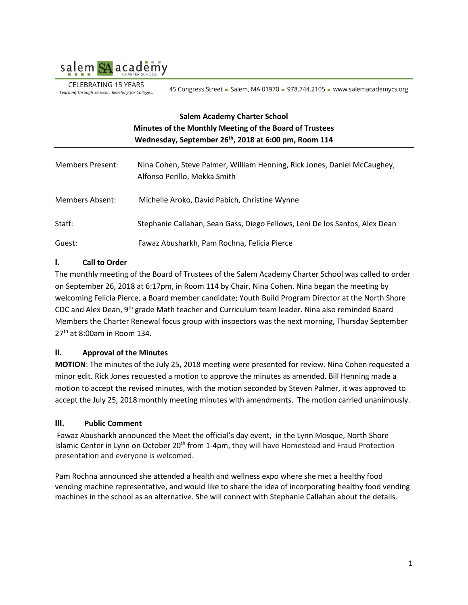

**CELEBRATING 15 YEARS** Learning Through Service... Reaching for College...

45 Congress Street - Salem, MA 01970 - 978.744.2105 - www.salemacademycs.org

# **Salem Academy Charter School Minutes of the Monthly Meeting of the Board of Trustees Wednesday, September 26th, 2018 at 6:00 pm, Room 114**

| Members Present: | Nina Cohen, Steve Palmer, William Henning, Rick Jones, Daniel McCaughey,<br>Alfonso Perillo, Mekka Smith |
|------------------|----------------------------------------------------------------------------------------------------------|
| Members Absent:  | Michelle Aroko, David Pabich, Christine Wynne                                                            |
| Staff:           | Stephanie Callahan, Sean Gass, Diego Fellows, Leni De los Santos, Alex Dean                              |
| Guest:           | Fawaz Abusharkh, Pam Rochna, Felicia Pierce                                                              |

# **I. Call to Order**

The monthly meeting of the Board of Trustees of the Salem Academy Charter School was called to order on September 26, 2018 at 6:17pm, in Room 114 by Chair, Nina Cohen. Nina began the meeting by welcoming Felicia Pierce, a Board member candidate; Youth Build Program Director at the North Shore CDC and Alex Dean, 9<sup>th</sup> grade Math teacher and Curriculum team leader. Nina also reminded Board Members the Charter Renewal focus group with inspectors was the next morning, Thursday September  $27<sup>th</sup>$  at 8:00am in Room 134.

# **II. Approval of the Minutes**

**MOTION**: The minutes of the July 25, 2018 meeting were presented for review. Nina Cohen requested a minor edit. Rick Jones requested a motion to approve the minutes as amended. Bill Henning made a motion to accept the revised minutes, with the motion seconded by Steven Palmer, it was approved to accept the July 25, 2018 monthly meeting minutes with amendments. The motion carried unanimously.

#### **III. Public Comment**

Fawaz Abusharkh announced the Meet the official's day event, in the Lynn Mosque, North Shore Islamic Center in Lynn on October 20<sup>th</sup> from 1-4pm, they will have Homestead and Fraud Protection presentation and everyone is welcomed.

Pam Rochna announced she attended a health and wellness expo where she met a healthy food vending machine representative, and would like to share the idea of incorporating healthy food vending machines in the school as an alternative. She will connect with Stephanie Callahan about the details.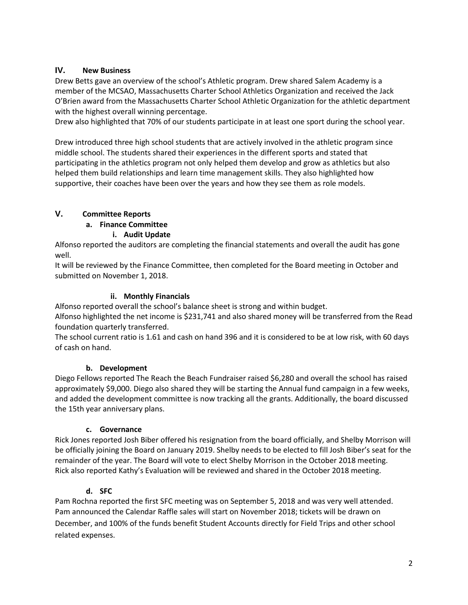### **IV. New Business**

Drew Betts gave an overview of the school's Athletic program. Drew shared Salem Academy is a member of the MCSAO, Massachusetts Charter School Athletics Organization and received the Jack O'Brien award from the Massachusetts Charter School Athletic Organization for the athletic department with the highest overall winning percentage.

Drew also highlighted that 70% of our students participate in at least one sport during the school year.

Drew introduced three high school students that are actively involved in the athletic program since middle school. The students shared their experiences in the different sports and stated that participating in the athletics program not only helped them develop and grow as athletics but also helped them build relationships and learn time management skills. They also highlighted how supportive, their coaches have been over the years and how they see them as role models.

# **V. Committee Reports**

### **a. Finance Committee**

### **i. Audit Update**

Alfonso reported the auditors are completing the financial statements and overall the audit has gone well.

It will be reviewed by the Finance Committee, then completed for the Board meeting in October and submitted on November 1, 2018.

### **ii. Monthly Financials**

Alfonso reported overall the school's balance sheet is strong and within budget.

Alfonso highlighted the net income is \$231,741 and also shared money will be transferred from the Read foundation quarterly transferred.

The school current ratio is 1.61 and cash on hand 396 and it is considered to be at low risk, with 60 days of cash on hand.

# **b. Development**

Diego Fellows reported The Reach the Beach Fundraiser raised \$6,280 and overall the school has raised approximately \$9,000. Diego also shared they will be starting the Annual fund campaign in a few weeks, and added the development committee is now tracking all the grants. Additionally, the board discussed the 15th year anniversary plans.

# **c. Governance**

Rick Jones reported Josh Biber offered his resignation from the board officially, and Shelby Morrison will be officially joining the Board on January 2019. Shelby needs to be elected to fill Josh Biber's seat for the remainder of the year. The Board will vote to elect Shelby Morrison in the October 2018 meeting. Rick also reported Kathy's Evaluation will be reviewed and shared in the October 2018 meeting.

# **d. SFC**

Pam Rochna reported the first SFC meeting was on September 5, 2018 and was very well attended. Pam announced the Calendar Raffle sales will start on November 2018; tickets will be drawn on December, and 100% of the funds benefit Student Accounts directly for Field Trips and other school related expenses.